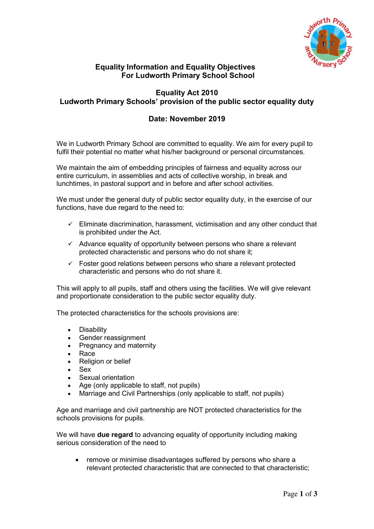

### **Equality Information and Equality Objectives For Ludworth Primary School School**

# **Equality Act 2010 Ludworth Primary Schools' provision of the public sector equality duty**

# **Date: November 2019**

We in Ludworth Primary School are committed to equality. We aim for every pupil to fulfil their potential no matter what his/her background or personal circumstances.

We maintain the aim of embedding principles of fairness and equality across our entire curriculum, in assemblies and acts of collective worship, in break and lunchtimes, in pastoral support and in before and after school activities.

We must under the general duty of public sector equality duty, in the exercise of our functions, have due regard to the need to:

- $\checkmark$  Eliminate discrimination, harassment, victimisation and any other conduct that is prohibited under the Act.
- $\checkmark$  Advance equality of opportunity between persons who share a relevant protected characteristic and persons who do not share it;
- $\checkmark$  Foster good relations between persons who share a relevant protected characteristic and persons who do not share it.

This will apply to all pupils, staff and others using the facilities. We will give relevant and proportionate consideration to the public sector equality duty.

The protected characteristics for the schools provisions are:

- Disability
- Gender reassignment
- Pregnancy and maternity
- Race
- Religion or belief
- Sex
- Sexual orientation
- Age (only applicable to staff, not pupils)
- Marriage and Civil Partnerships (only applicable to staff, not pupils)

Age and marriage and civil partnership are NOT protected characteristics for the schools provisions for pupils.

We will have **due regard** to advancing equality of opportunity including making serious consideration of the need to

 remove or minimise disadvantages suffered by persons who share a relevant protected characteristic that are connected to that characteristic;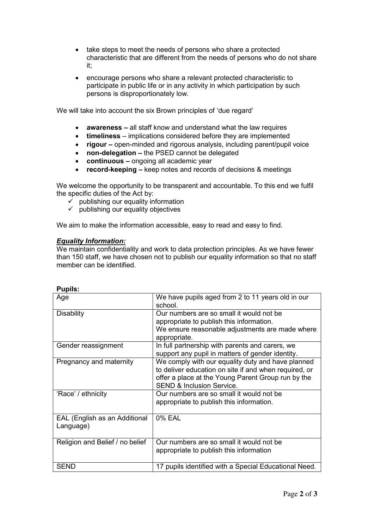- take steps to meet the needs of persons who share a protected characteristic that are different from the needs of persons who do not share it;
- encourage persons who share a relevant protected characteristic to participate in public life or in any activity in which participation by such persons is disproportionately low.

We will take into account the six Brown principles of 'due regard'

- **awareness –** all staff know and understand what the law requires
- **timeliness**  implications considered before they are implemented
- **rigour –** open-minded and rigorous analysis, including parent/pupil voice
- **non-delegation –** the PSED cannot be delegated
- **continuous –** ongoing all academic year
- **record-keeping –** keep notes and records of decisions & meetings

We welcome the opportunity to be transparent and accountable. To this end we fulfil the specific duties of the Act by:

- $\checkmark$  publishing our equality information
- $\checkmark$  publishing our equality objectives

We aim to make the information accessible, easy to read and easy to find.

### *Equality Information:*

We maintain confidentiality and work to data protection principles. As we have fewer than 150 staff, we have chosen not to publish our equality information so that no staff member can be identified.

| Age                                        | We have pupils aged from 2 to 11 years old in our<br>school.                                                                                                                                             |
|--------------------------------------------|----------------------------------------------------------------------------------------------------------------------------------------------------------------------------------------------------------|
| <b>Disability</b>                          | Our numbers are so small it would not be<br>appropriate to publish this information.<br>We ensure reasonable adjustments are made where<br>appropriate.                                                  |
| Gender reassignment                        | In full partnership with parents and carers, we<br>support any pupil in matters of gender identity.                                                                                                      |
| Pregnancy and maternity                    | We comply with our equality duty and have planned<br>to deliver education on site if and when required, or<br>offer a place at the Young Parent Group run by the<br><b>SEND &amp; Inclusion Service.</b> |
| 'Race' / ethnicity                         | Our numbers are so small it would not be<br>appropriate to publish this information.                                                                                                                     |
| EAL (English as an Additional<br>Language) | 0% EAL                                                                                                                                                                                                   |
| Religion and Belief / no belief            | Our numbers are so small it would not be<br>appropriate to publish this information                                                                                                                      |
| <b>SEND</b>                                | 17 pupils identified with a Special Educational Need.                                                                                                                                                    |

**Pupils:**